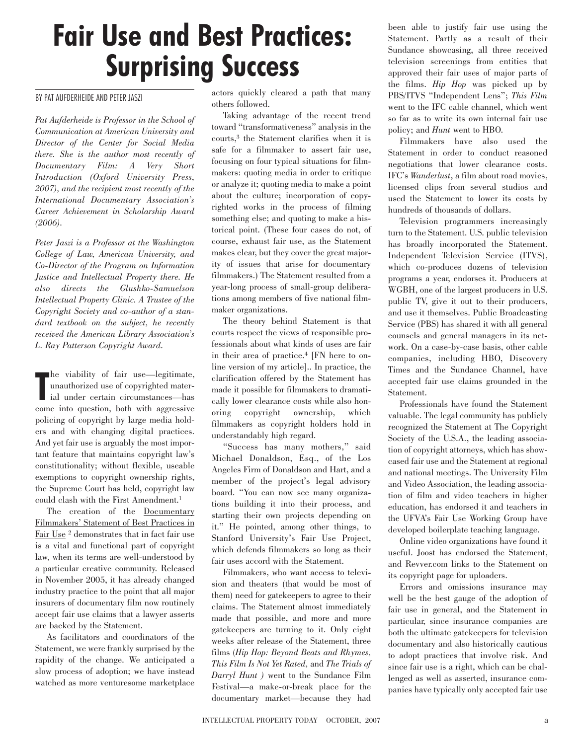## **Fair Use and Best Practices: Surprising Success**

## BY PAT AUFDERHEIDE AND PETER JASZI

*Pat Aufderheide is Professor in the School of Communication at American University and Director of the Center for Social Media there. She is the author most recently of Documentary Film: A Very Short Introduction (Oxford University Press, 2007), and the recipient most recently of the International Documentary Association's Career Achievement in Scholarship Award (2006).* 

*Peter Jaszi is a Professor at the Washington College of Law, American University, and Co-Director of the Program on Information Justice and Intellectual Property there. He also directs the Glushko-Samuelson Intellectual Property Clinic. A Trustee of the Copyright Society and co-author of a standard textbook on the subject, he recently received the American Library Association's L. Ray Patterson Copyright Award.* 

**The viability of fair use—legitimate,**<br>
unauthorized use of copyrighted mater-<br>
ial under certain circumstances—has he viability of fair use—legitimate, unauthorized use of copyrighted matercome into question, both with aggressive policing of copyright by large media holders and with changing digital practices. And yet fair use is arguably the most important feature that maintains copyright law's constitutionality; without flexible, useable exemptions to copyright ownership rights, the Supreme Court has held, copyright law could clash with the First Amendment.1

The creation of the Documentary Filmmakers' Statement of Best Practices in Fair Use<sup>2</sup> demonstrates that in fact fair use is a vital and functional part of copyright law, when its terms are well-understood by a particular creative community. Released in November 2005, it has already changed industry practice to the point that all major insurers of documentary film now routinely accept fair use claims that a lawyer asserts are backed by the Statement.

As facilitators and coordinators of the Statement, we were frankly surprised by the rapidity of the change. We anticipated a slow process of adoption; we have instead watched as more venturesome marketplace

actors quickly cleared a path that many others followed.

Taking advantage of the recent trend toward "transformativeness" analysis in the courts,3 the Statement clarifies when it is safe for a filmmaker to assert fair use, focusing on four typical situations for filmmakers: quoting media in order to critique or analyze it; quoting media to make a point about the culture; incorporation of copyrighted works in the process of filming something else; and quoting to make a historical point. (These four cases do not, of course, exhaust fair use, as the Statement makes clear, but they cover the great majority of issues that arise for documentary filmmakers.) The Statement resulted from a year-long process of small-group deliberations among members of five national filmmaker organizations.

The theory behind Statement is that courts respect the views of responsible professionals about what kinds of uses are fair in their area of practice.4 [FN here to online version of my article].. In practice, the clarification offered by the Statement has made it possible for filmmakers to dramatically lower clearance costs while also honoring copyright ownership, which filmmakers as copyright holders hold in understandably high regard.

"Success has many mothers," said Michael Donaldson, Esq., of the Los Angeles Firm of Donaldson and Hart, and a member of the project's legal advisory board. "You can now see many organizations building it into their process, and starting their own projects depending on it." He pointed, among other things, to Stanford University's Fair Use Project, which defends filmmakers so long as their fair uses accord with the Statement.

Filmmakers, who want access to television and theaters (that would be most of them) need for gatekeepers to agree to their claims. The Statement almost immediately made that possible, and more and more gatekeepers are turning to it. Only eight weeks after release of the Statement, three films (*Hip Hop: Beyond Beats and Rhymes, This Film Is Not Yet Rated,* and *The Trials of Darryl Hunt )* went to the Sundance Film Festival—a make-or-break place for the documentary market—because they had

been able to justify fair use using the Statement. Partly as a result of their Sundance showcasing, all three received television screenings from entities that approved their fair uses of major parts of the films. *Hip Hop* was picked up by PBS/ITVS "Independent Lens"; *This Film* went to the IFC cable channel, which went so far as to write its own internal fair use policy; and *Hunt* went to HBO.

Filmmakers have also used the Statement in order to conduct reasoned negotiations that lower clearance costs. IFC's *Wanderlust*, a film about road movies, licensed clips from several studios and used the Statement to lower its costs by hundreds of thousands of dollars.

Television programmers increasingly turn to the Statement. U.S. public television has broadly incorporated the Statement. Independent Television Service (ITVS), which co-produces dozens of television programs a year, endorses it. Producers at WGBH, one of the largest producers in U.S. public TV, give it out to their producers, and use it themselves. Public Broadcasting Service (PBS) has shared it with all general counsels and general managers in its network. On a case-by-case basis, other cable companies, including HBO, Discovery Times and the Sundance Channel, have accepted fair use claims grounded in the Statement.

Professionals have found the Statement valuable. The legal community has publicly recognized the Statement at The Copyright Society of the U.S.A., the leading association of copyright attorneys, which has showcased fair use and the Statement at regional and national meetings. The University Film and Video Association, the leading association of film and video teachers in higher education, has endorsed it and teachers in the UFVA's Fair Use Working Group have developed boilerplate teaching language.

Online video organizations have found it useful. Joost has endorsed the Statement, and Revver.com links to the Statement on its copyright page for uploaders.

Errors and omissions insurance may well be the best gauge of the adoption of fair use in general, and the Statement in particular, since insurance companies are both the ultimate gatekeepers for television documentary and also historically cautious to adopt practices that involve risk. And since fair use is a right, which can be challenged as well as asserted, insurance companies have typically only accepted fair use